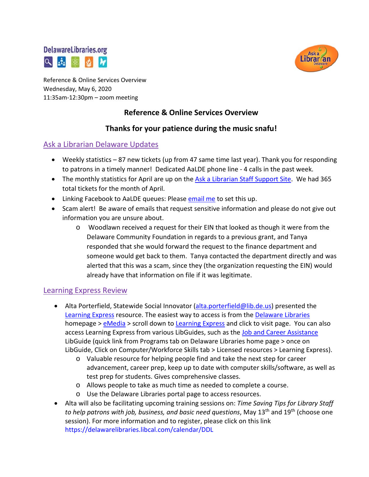



Reference & Online Services Overview Wednesday, May 6, 2020 11:35am-12:30pm – zoom meeting

# **Reference & Online Services Overview**

## **Thanks for your patience during the music snafu!**

#### Ask a Librarian Delaware Updates

- Weekly statistics 87 new tickets (up from 47 same time last year). Thank you for responding to patrons in a timely manner! Dedicated AaLDE phone line - 4 calls in the past week.
- The monthly statistics for April are up on the [Ask a Librarian Staff Support Site.](https://aalstaff.lib.de.us/home/reports/fy20-monthly-reports/) We had 365 total tickets for the month of April.
- Linking Facebook to AaLDE queues: Please [email](mailto:missy.williams@lib.de.us) me to set this up.
- Scam alert! Be aware of emails that request sensitive information and please do not give out information you are unsure about.
	- o Woodlawn received a request for their EIN that looked as though it were from the Delaware Community Foundation in regards to a previous grant, and Tanya responded that she would forward the request to the finance department and someone would get back to them. Tanya contacted the department directly and was alerted that this was a scam, since they (the organization requesting the EIN) would already have that information on file if it was legitimate.

#### Learning Express Review

- Alta Porterfield, Statewide Social Innovator [\(alta.porterfield@lib.de.us\)](mailto:alta.porterfield@lib.de.us) presented the [Learning](https://ezproxy.lib.de.us:2155/ProductEngine/LELIndex.html#/learningexpresslibrary/libraryhome?AuthToken=KAy%2FKNWWXedSbXlPBT5EyVbSpCcyaUQ0ZZ4pzbbTdUc%3D) Express resource. The easiest way to access is from the [Delaware Libraries](https://lib.de.us/) homepage > [eMedia](https://lib.de.us/emedia/) > scroll down to [Learning Express](https://ezproxy.lib.de.us:2155/ProductEngine/LELIndex.html#/learningexpresslibrary/libraryhome?AuthToken=KAy%2FKNWWXedSbXlPBT5EyVbSpCcyaUQ0ZZ4pzbbTdUc%3D) and click to visit page. You can also access Learning Express from various LibGuides, such as the [Job and Career Assistance](https://guides.lib.de.us/jobs) LibGuide (quick link from Programs tab on Delaware Libraries home page > once on LibGuide, Click on Computer/Workforce Skills tab > Licensed resources > Learning Express).
	- o Valuable resource for helping people find and take the next step for career advancement, career prep, keep up to date with computer skills/software, as well as test prep for students. Gives comprehensive classes.
	- o Allows people to take as much time as needed to complete a course.
	- o Use the Delaware Libraries portal page to access resources.
- Alta will also be facilitating upcoming training sessions on: *Time Saving Tips for Library Staff to help patrons with job, business, and basic need questions*, May 13th and 19th (choose one session). For more information and to register, please click on this link [https://delawarelibraries.libcal.com/calendar/DDL](https://delawarelibraries.libcal.com/event/6683825)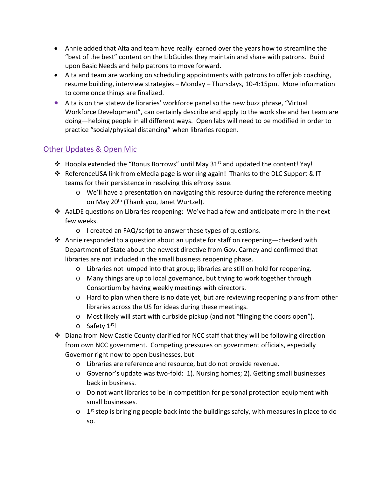- Annie added that Alta and team have really learned over the years how to streamline the "best of the best" content on the LibGuides they maintain and share with patrons. Build upon Basic Needs and help patrons to move forward.
- Alta and team are working on scheduling appointments with patrons to offer job coaching, resume building, interview strategies – Monday – Thursdays, 10-4:15pm. More information to come once things are finalized.
- Alta is on the statewide libraries' workforce panel so the new buzz phrase, "Virtual Workforce Development", can certainly describe and apply to the work she and her team are doing—helping people in all different ways. Open labs will need to be modified in order to practice "social/physical distancing" when libraries reopen.

## Other Updates & Open Mic

- $\cdot$  Hoopla extended the "Bonus Borrows" until May 31<sup>st</sup> and updated the content! Yay!
- ReferenceUSA link from eMedia page is working again! Thanks to the DLC Support & IT teams for their persistence in resolving this eProxy issue.
	- o We'll have a presentation on navigating this resource during the reference meeting on May 20<sup>th</sup> (Thank you, Janet Wurtzel).
- AaLDE questions on Libraries reopening: We've had a few and anticipate more in the next few weeks.
	- o I created an FAQ/script to answer these types of questions.
- Annie responded to a question about an update for staff on reopening—checked with Department of State about the newest directive from Gov. Carney and confirmed that libraries are not included in the small business reopening phase.
	- o Libraries not lumped into that group; libraries are still on hold for reopening.
	- o Many things are up to local governance, but trying to work together through Consortium by having weekly meetings with directors.
	- $\circ$  Hard to plan when there is no date yet, but are reviewing reopening plans from other libraries across the US for ideas during these meetings.
	- $\circ$  Most likely will start with curbside pickup (and not "flinging the doors open").
	- o Safety 1<sup>st</sup>!
- $\div$  Diana from New Castle County clarified for NCC staff that they will be following direction from own NCC government. Competing pressures on government officials, especially Governor right now to open businesses, but
	- o Libraries are reference and resource, but do not provide revenue.
	- o Governor's update was two-fold: 1). Nursing homes; 2). Getting small businesses back in business.
	- o Do not want libraries to be in competition for personal protection equipment with small businesses.
	- $\circ$  1<sup>st</sup> step is bringing people back into the buildings safely, with measures in place to do so.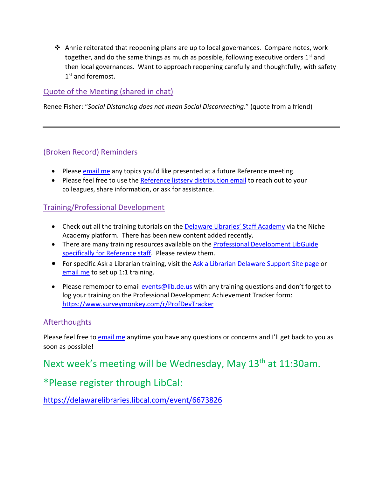$\clubsuit$  Annie reiterated that reopening plans are up to local governances. Compare notes, work together, and do the same things as much as possible, following executive orders  $1<sup>st</sup>$  and then local governances. Want to approach reopening carefully and thoughtfully, with safety 1<sup>st</sup> and foremost.

### Quote of the Meeting (shared in chat)

Renee Fisher: "*Social Distancing does not mean Social Disconnecting*." (quote from a friend)

#### (Broken Record) Reminders

- Please [email me](mailto:missy.williams@lib.de.us) any topics you'd like presented at a future Reference meeting.
- Please feel free to use the Reference listsery distribution email to reach out to your colleagues, share information, or ask for assistance.

#### Training/Professional Development

- Check out all the training tutorials on the [Delaware Libraries' Staff Academy](https://my.nicheacademy.com/delawarelibrariesstaffacademy) via the Niche Academy platform. There has been new content added recently.
- There are many training resources available on the Professional Development LibGuide [specifically for Reference staff.](https://guides.lib.de.us/c.php?g=386101&p=2619930) Please review them.
- For specific Ask a Librarian training, visit the [Ask a Librarian Delaware Support Site page](https://aalstaff.lib.de.us/all-meetings-trainings/training-tutorials/) or [email me](mailto:missy.williams@lib.de.us) to set up 1:1 training.
- Please remember to email [events@lib.de.us](mailto:events@lib.de.us) with any training questions and don't forget to log your training on the Professional Development Achievement Tracker form: <https://www.surveymonkey.com/r/ProfDevTracker>

#### **Afterthoughts**

Please feel free t[o email me](mailto:missy.williams@lib.de.us) anytime you have any questions or concerns and I'll get back to you as soon as possible!

# Next week's meeting will be Wednesday, May 13<sup>th</sup> at 11:30am.

# \*Please register through LibCal:

<https://delawarelibraries.libcal.com/event/6673826>